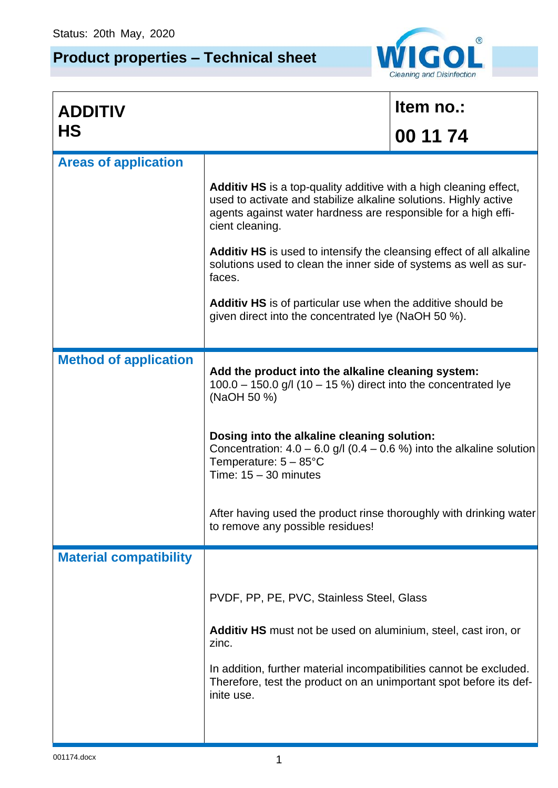## **Product properties – Technical sheet**



| <b>ADDITIV</b>                |                                                                                                                                                                                                                                                                                                                                                                                                                                         | Item no.: |  |
|-------------------------------|-----------------------------------------------------------------------------------------------------------------------------------------------------------------------------------------------------------------------------------------------------------------------------------------------------------------------------------------------------------------------------------------------------------------------------------------|-----------|--|
| <b>HS</b>                     |                                                                                                                                                                                                                                                                                                                                                                                                                                         | 00 11 74  |  |
| <b>Areas of application</b>   |                                                                                                                                                                                                                                                                                                                                                                                                                                         |           |  |
|                               | <b>Additiv HS</b> is a top-quality additive with a high cleaning effect,<br>used to activate and stabilize alkaline solutions. Highly active<br>agents against water hardness are responsible for a high effi-<br>cient cleaning.                                                                                                                                                                                                       |           |  |
|                               | <b>Additiv HS</b> is used to intensify the cleansing effect of all alkaline<br>solutions used to clean the inner side of systems as well as sur-<br>faces.                                                                                                                                                                                                                                                                              |           |  |
|                               | <b>Additiv HS</b> is of particular use when the additive should be<br>given direct into the concentrated lye (NaOH 50 %).                                                                                                                                                                                                                                                                                                               |           |  |
| <b>Method of application</b>  |                                                                                                                                                                                                                                                                                                                                                                                                                                         |           |  |
|                               | Add the product into the alkaline cleaning system:<br>$100.0 - 150.0$ g/l (10 - 15 %) direct into the concentrated lye<br>(NaOH 50 %)<br>Dosing into the alkaline cleaning solution:<br>Concentration: $4.0 - 6.0$ g/l (0.4 – 0.6 %) into the alkaline solution<br>Temperature: $5 - 85^{\circ}$ C<br>Time: $15 - 30$ minutes<br>After having used the product rinse thoroughly with drinking water<br>to remove any possible residues! |           |  |
|                               |                                                                                                                                                                                                                                                                                                                                                                                                                                         |           |  |
|                               |                                                                                                                                                                                                                                                                                                                                                                                                                                         |           |  |
| <b>Material compatibility</b> |                                                                                                                                                                                                                                                                                                                                                                                                                                         |           |  |
|                               | PVDF, PP, PE, PVC, Stainless Steel, Glass                                                                                                                                                                                                                                                                                                                                                                                               |           |  |
|                               | Additiv HS must not be used on aluminium, steel, cast iron, or<br>zinc.                                                                                                                                                                                                                                                                                                                                                                 |           |  |
|                               | In addition, further material incompatibilities cannot be excluded.<br>Therefore, test the product on an unimportant spot before its def-<br>inite use.                                                                                                                                                                                                                                                                                 |           |  |
|                               |                                                                                                                                                                                                                                                                                                                                                                                                                                         |           |  |